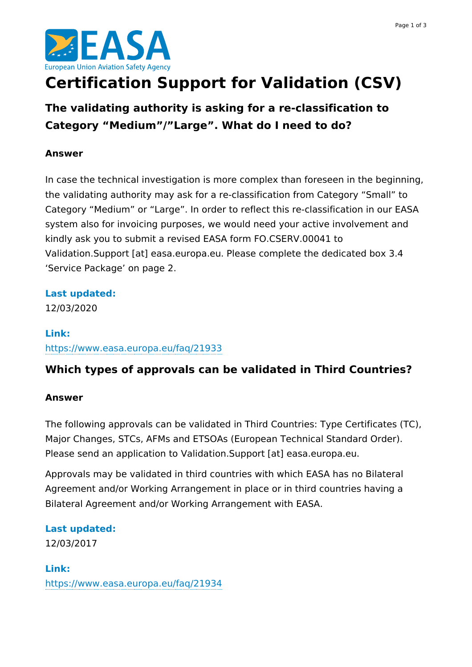

# **Certification Support for Validation (CSV)**

**The validating authority is asking for a re-classification to Category "Medium"/"Large". What do I need to do?**

#### **Answer**

In case the technical investigation is more complex than foreseen in the beginning, the validating authority may ask for a re-classification from Category "Small" to Category "Medium" or "Large". In order to reflect this re-classification in our EASA system also for invoicing purposes, we would need your active involvement and kindly ask you to submit a revised EASA form FO.CSERV.00041 to Validation.Support [at] easa.europa.eu. Please complete the dedicated box 3.4 'Service Package' on page 2.

#### **Last updated:**

12/03/2020

### **Link:** <https://www.easa.europa.eu/faq/21933>

## **Which types of approvals can be validated in Third Countries?**

#### **Answer**

The following approvals can be validated in Third Countries: Type Certificates (TC), Major Changes, STCs, AFMs and ETSOAs (European Technical Standard Order). Please send an application to Validation.Support [at] easa.europa.eu.

Approvals may be validated in third countries with which EASA has no Bilateral Agreement and/or Working Arrangement in place or in third countries having a Bilateral Agreement and/or Working Arrangement with EASA.

#### **Last updated:**

12/03/2017

#### **Link:**

<https://www.easa.europa.eu/faq/21934>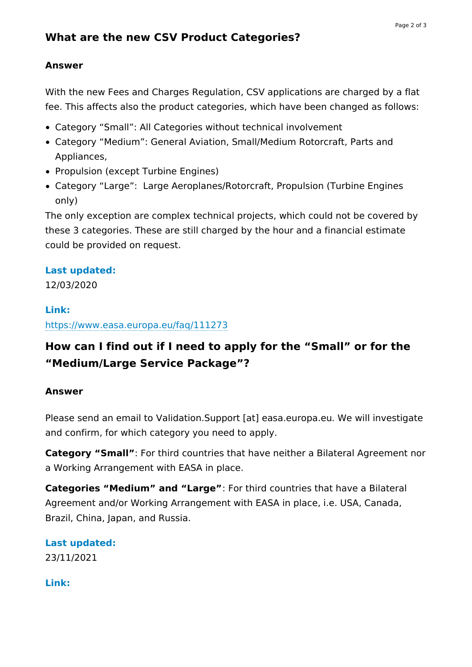#### **Answer**

With the new Fees and Charges Regulation, CSV applications are charged by a flat fee. This affects also the product categories, which have been changed as follows:

- Category "Small": All Categories without technical involvement
- Category "Medium": General Aviation, Small/Medium Rotorcraft, Parts and Appliances,
- Propulsion (except Turbine Engines)
- Category "Large": Large Aeroplanes/Rotorcraft, Propulsion (Turbine Engines only)

The only exception are complex technical projects, which could not be covered by these 3 categories. These are still charged by the hour and a financial estimate could be provided on request.

#### **Last updated:**

12/03/2020

#### **Link:**

<https://www.easa.europa.eu/faq/111273>

## **How can I find out if I need to apply for the "Small" or for the "Medium/Large Service Package"?**

#### **Answer**

Please send an email to Validation.Support [at] easa.europa.eu. We will investigate and confirm, for which category you need to apply.

**Category "Small"**: For third countries that have neither a Bilateral Agreement nor a Working Arrangement with EASA in place.

**Categories "Medium" and "Large"**: For third countries that have a Bilateral Agreement and/or Working Arrangement with EASA in place, i.e. USA, Canada, Brazil, China, Japan, and Russia.

#### **Last updated:** 23/11/2021

**Link:**